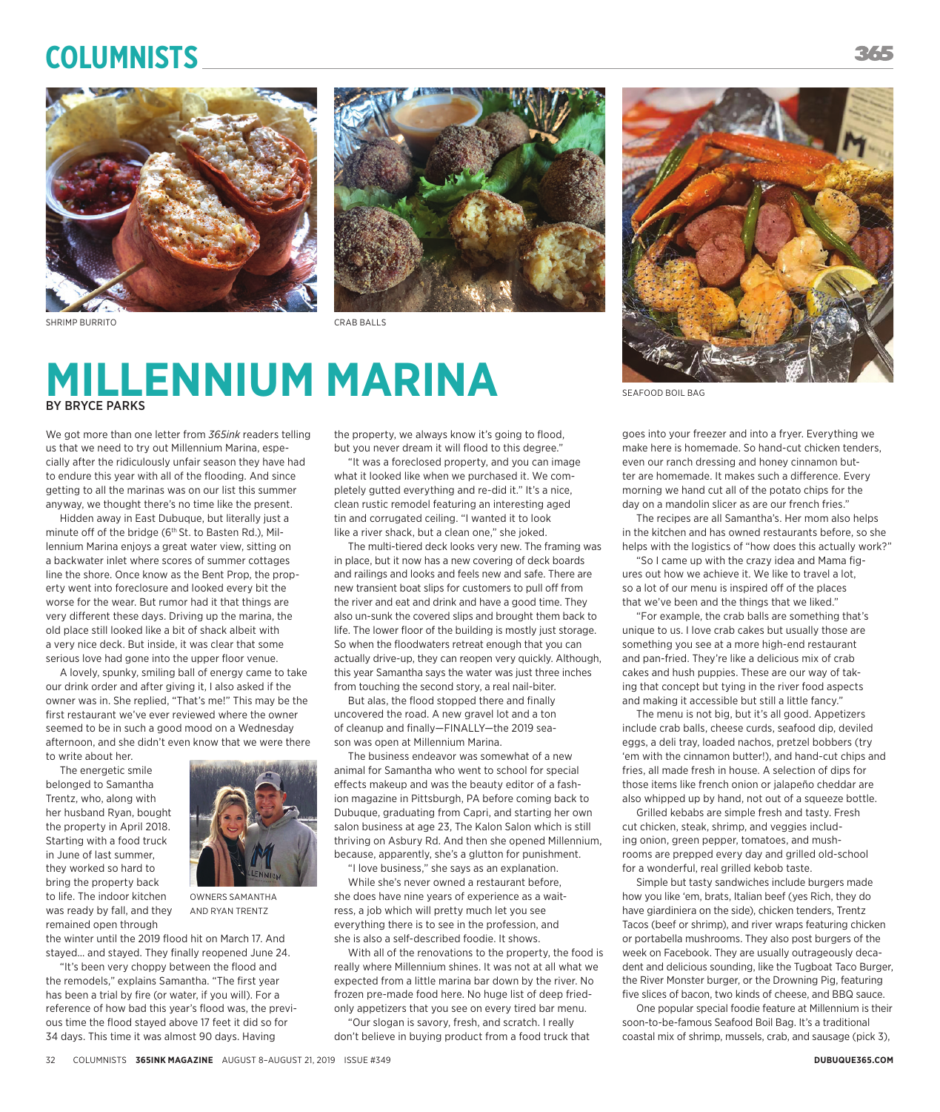## **Columnists**





## **MILLENNIUM MARINA** BY BRYCE PARKS

We got more than one letter from *365ink* readers telling us that we need to try out Millennium Marina, especially after the ridiculously unfair season they have had to endure this year with all of the flooding. And since getting to all the marinas was on our list this summer anyway, we thought there's no time like the present.

Hidden away in East Dubuque, but literally just a minute off of the bridge (6<sup>th</sup> St. to Basten Rd.), Millennium Marina enjoys a great water view, sitting on a backwater inlet where scores of summer cottages line the shore. Once know as the Bent Prop, the property went into foreclosure and looked every bit the worse for the wear. But rumor had it that things are very different these days. Driving up the marina, the old place still looked like a bit of shack albeit with a very nice deck. But inside, it was clear that some serious love had gone into the upper floor venue.

A lovely, spunky, smiling ball of energy came to take our drink order and after giving it, I also asked if the owner was in. She replied, "That's me!" This may be the first restaurant we've ever reviewed where the owner seemed to be in such a good mood on a Wednesday afternoon, and she didn't even know that we were there to write about her.

The energetic smile belonged to Samantha Trentz, who, along with her husband Ryan, bought the property in April 2018. Starting with a food truck in June of last summer, they worked so hard to bring the property back to life. The indoor kitchen was ready by fall, and they remained open through



OWNERS SAMANTHA AND RYAN TRENTZ

the winter until the 2019 flood hit on March 17. And stayed… and stayed. They finally reopened June 24.

"It's been very choppy between the flood and the remodels," explains Samantha. "The first year has been a trial by fire (or water, if you will). For a reference of how bad this year's flood was, the previous time the flood stayed above 17 feet it did so for 34 days. This time it was almost 90 days. Having

the property, we always know it's going to flood, but you never dream it will flood to this degree."

"It was a foreclosed property, and you can image what it looked like when we purchased it. We completely gutted everything and re-did it." It's a nice, clean rustic remodel featuring an interesting aged tin and corrugated ceiling. "I wanted it to look like a river shack, but a clean one," she joked.

The multi-tiered deck looks very new. The framing was in place, but it now has a new covering of deck boards and railings and looks and feels new and safe. There are new transient boat slips for customers to pull off from the river and eat and drink and have a good time. They also un-sunk the covered slips and brought them back to life. The lower floor of the building is mostly just storage. So when the floodwaters retreat enough that you can actually drive-up, they can reopen very quickly. Although, this year Samantha says the water was just three inches from touching the second story, a real nail-biter.

But alas, the flood stopped there and finally uncovered the road. A new gravel lot and a ton of cleanup and finally—FINALLY—the 2019 season was open at Millennium Marina.

The business endeavor was somewhat of a new animal for Samantha who went to school for special effects makeup and was the beauty editor of a fashion magazine in Pittsburgh, PA before coming back to Dubuque, graduating from Capri, and starting her own salon business at age 23, The Kalon Salon which is still thriving on Asbury Rd. And then she opened Millennium, because, apparently, she's a glutton for punishment.

"I love business," she says as an explanation.

While she's never owned a restaurant before, she does have nine years of experience as a waitress, a job which will pretty much let you see everything there is to see in the profession, and she is also a self-described foodie. It shows.

With all of the renovations to the property, the food is really where Millennium shines. It was not at all what we expected from a little marina bar down by the river. No frozen pre-made food here. No huge list of deep friedonly appetizers that you see on every tired bar menu.

"Our slogan is savory, fresh, and scratch. I really don't believe in buying product from a food truck that



SEAFOOD BOIL BAG

goes into your freezer and into a fryer. Everything we make here is homemade. So hand-cut chicken tenders, even our ranch dressing and honey cinnamon butter are homemade. It makes such a difference. Every morning we hand cut all of the potato chips for the day on a mandolin slicer as are our french fries."

The recipes are all Samantha's. Her mom also helps in the kitchen and has owned restaurants before, so she helps with the logistics of "how does this actually work?"

"So I came up with the crazy idea and Mama figures out how we achieve it. We like to travel a lot, so a lot of our menu is inspired off of the places that we've been and the things that we liked."

"For example, the crab balls are something that's unique to us. I love crab cakes but usually those are something you see at a more high-end restaurant and pan-fried. They're like a delicious mix of crab cakes and hush puppies. These are our way of taking that concept but tying in the river food aspects and making it accessible but still a little fancy."

The menu is not big, but it's all good. Appetizers include crab balls, cheese curds, seafood dip, deviled eggs, a deli tray, loaded nachos, pretzel bobbers (try 'em with the cinnamon butter!), and hand-cut chips and fries, all made fresh in house. A selection of dips for those items like french onion or jalapeño cheddar are also whipped up by hand, not out of a squeeze bottle.

Grilled kebabs are simple fresh and tasty. Fresh cut chicken, steak, shrimp, and veggies including onion, green pepper, tomatoes, and mushrooms are prepped every day and grilled old-school for a wonderful, real grilled kebob taste.

Simple but tasty sandwiches include burgers made how you like 'em, brats, Italian beef (yes Rich, they do have giardiniera on the side), chicken tenders, Trentz Tacos (beef or shrimp), and river wraps featuring chicken or portabella mushrooms. They also post burgers of the week on Facebook. They are usually outrageously decadent and delicious sounding, like the Tugboat Taco Burger, the River Monster burger, or the Drowning Pig, featuring five slices of bacon, two kinds of cheese, and BBQ sauce.

One popular special foodie feature at Millennium is their soon-to-be-famous Seafood Boil Bag. It's a traditional coastal mix of shrimp, mussels, crab, and sausage (pick 3),